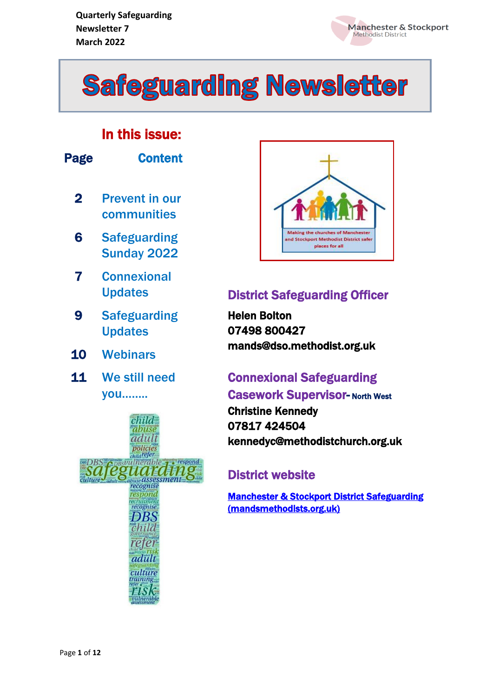



#### In this issue:

| Page      | Content                                                                                                   |
|-----------|-----------------------------------------------------------------------------------------------------------|
| 2         | <b>Prevent in our</b><br>communities                                                                      |
| 6         | <b>Safeguarding</b><br><b>Sunday 2022</b>                                                                 |
| 7         | <b>Connexional</b><br><b>Updates</b>                                                                      |
| 9         | <b>Safeguarding</b><br><b>Updates</b>                                                                     |
| <b>10</b> | <b>Webinars</b>                                                                                           |
| 11        | We still need<br>you                                                                                      |
| culture   | hild<br>ruse<br>adult<br>policies<br>$child$ refer<br>hle<br><b><i>RSVUL</i></b><br>ecognise<br>recognise |

adult culture training, risk



#### **District Safeguarding Officer**

Helen Bolton 07498 800427 mands@dso.methodist.org.uk

#### Connexional Safeguarding **Casework Supervisor- North West**

Christine Kennedy 07817 424504 kennedyc@methodistchurch.org.uk

#### District website

[Manchester & Stockport District Safeguarding](https://www.mandsmethodists.org.uk/safeguarding.html)  [\(mandsmethodists.org.uk\)](https://www.mandsmethodists.org.uk/safeguarding.html)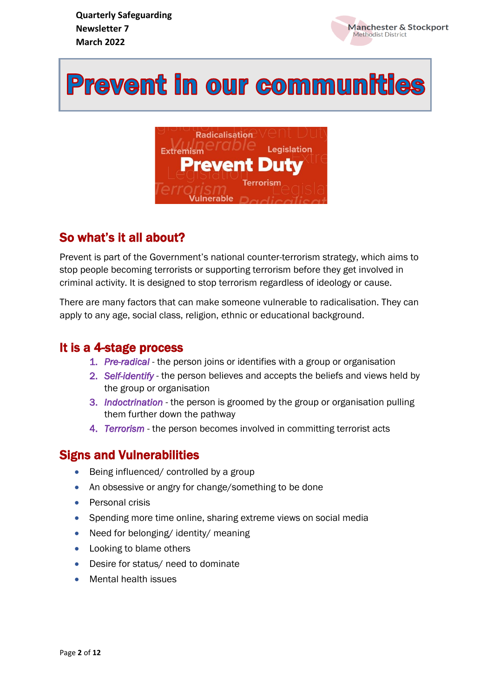

# **Prevent in our communities**



### So what's it all about?

Prevent is part of the Government's national counter-terrorism strategy, which aims to stop people becoming terrorists or supporting terrorism before they get involved in criminal activity. It is designed to stop terrorism regardless of ideology or cause.

There are many factors that can make someone vulnerable to radicalisation. They can apply to any age, social class, religion, ethnic or educational background.

#### It is a 4-stage process

- 1. *Pre-radical* the person joins or identifies with a group or organisation
- 2. *Self-identify* the person believes and accepts the beliefs and views held by the group or organisation
- 3. *Indoctrination* the person is groomed by the group or organisation pulling them further down the pathway
- 4. *Terrorism* the person becomes involved in committing terrorist acts

#### Signs and Vulnerabilities

- Being influenced/ controlled by a group
- An obsessive or angry for change/something to be done
- Personal crisis
- Spending more time online, sharing extreme views on social media
- Need for belonging/identity/meaning
- Looking to blame others
- Desire for status/ need to dominate
- Mental health issues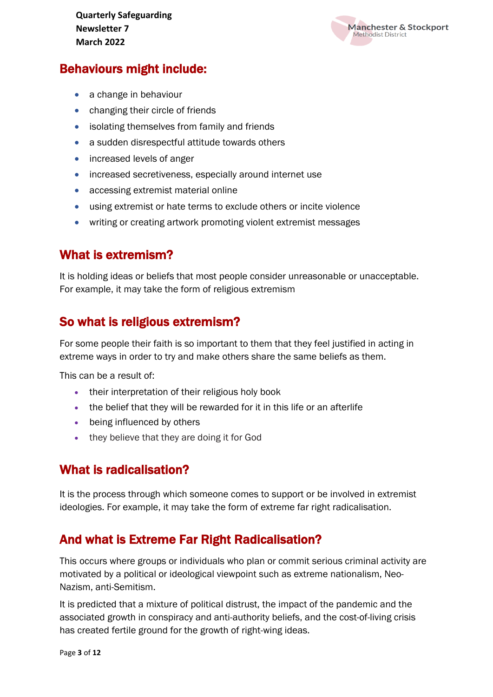

#### Behaviours might include:

- a change in behaviour
- changing their circle of friends
- isolating themselves from family and friends
- a sudden disrespectful attitude towards others
- increased levels of anger
- increased secretiveness, especially around internet use
- accessing extremist material online
- using extremist or hate terms to exclude others or incite violence
- writing or creating artwork promoting violent extremist messages

#### What is extremism?

It is holding ideas or beliefs that most people consider unreasonable or unacceptable. For example, it may take the form of religious extremism

#### So what is religious extremism?

For some people their faith is so important to them that they feel justified in acting in extreme ways in order to try and make others share the same beliefs as them.

This can be a result of:

- their interpretation of their religious holy book
- the belief that they will be rewarded for it in this life or an afterlife
- being influenced by others
- they believe that they are doing it for God

#### What is radicalisation?

It is the process through which someone comes to support or be involved in extremist ideologies. For example, it may take the form of extreme far right radicalisation.

#### And what is Extreme Far Right Radicalisation?

This occurs where groups or individuals who plan or commit serious criminal activity are motivated by a political or ideological viewpoint such as extreme nationalism, Neo-Nazism, anti-Semitism.

It is predicted that a mixture of political distrust, the impact of the pandemic and the associated growth in conspiracy and anti-authority beliefs, and the cost-of-living crisis has created fertile ground for the growth of right-wing ideas.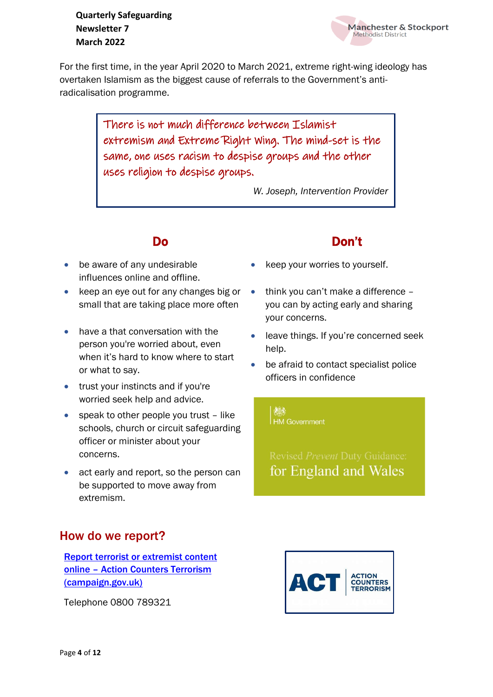For the first time, in the year April 2020 to March 2021, extreme right-wing ideology has overtaken Islamism as the biggest cause of referrals to the Government's antiradicalisation programme.

> There is not much difference between Islamist extremism and Extreme Right Wing. The mind-set is the same, one uses racism to despise groups and the other uses religion to despise groups.

> > *W. Joseph, Intervention Provider*

- be aware of any undesirable influences online and offline.
- keep an eye out for any changes big or small that are taking place more often
- have a that conversation with the person you're worried about, even when it's hard to know where to start or what to say.
- trust your instincts and if you're worried seek help and advice.
- speak to other people you trust like schools, church or circuit safeguarding officer or minister about your concerns.
- act early and report, so the person can be supported to move away from extremism.

#### How do we report?

[Report terrorist or extremist content](https://act.campaign.gov.uk/)  online – [Action Counters Terrorism](https://act.campaign.gov.uk/)  [\(campaign.gov.uk\)](https://act.campaign.gov.uk/)

Telephone 0800 789321

#### Do Don't

**Manchester & Stockport** 

Methodist District

- keep your worries to yourself.
- think you can't make a difference you can by acting early and sharing your concerns.
- leave things. If you're concerned seek help.
- be afraid to contact specialist police officers in confidence

**HM** Government

发系

for England and Wales

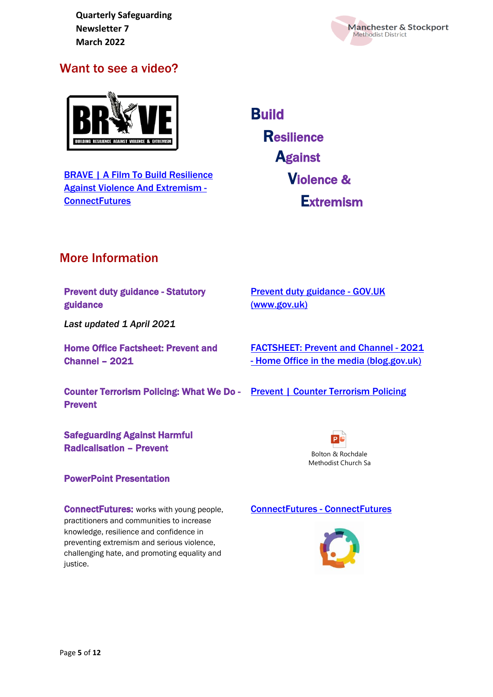

#### Want to see a video?



[BRAVE | A Film To Build Resilience](https://www.connectfutures.org/films/brave-a-film-to-build-resilience-against-violence-and-extremism/)  [Against Violence And Extremism -](https://www.connectfutures.org/films/brave-a-film-to-build-resilience-against-violence-and-extremism/) **[ConnectFutures](https://www.connectfutures.org/films/brave-a-film-to-build-resilience-against-violence-and-extremism/)** 

**Build Resilience Against**  Violence & Extremism

#### More Information

Prevent duty guidance - Statutory guidance

*Last updated 1 April 2021*

Home Office Factsheet: Prevent and Channel – 2021

Counter Terrorism Policing: What We Do - [Prevent | Counter Terrorism Policing](https://www.counterterrorism.police.uk/what-we-do/prevent/) Prevent

Safeguarding Against Harmful Radicalisation – Prevent

#### PowerPoint Presentation

**ConnectFutures:** works with young people, practitioners and communities to increase knowledge, resilience and confidence in preventing extremism and serious violence, challenging hate, and promoting equality and justice.

[Prevent duty guidance -](https://www.gov.uk/government/publications/prevent-duty-guidance) GOV.UK [\(www.gov.uk\)](https://www.gov.uk/government/publications/prevent-duty-guidance)

[FACTSHEET: Prevent and Channel -](https://homeofficemedia.blog.gov.uk/2021/10/18/factsheet-prevent-and-channel-2021/) 2021 - [Home Office in the media \(blog.gov.uk\)](https://homeofficemedia.blog.gov.uk/2021/10/18/factsheet-prevent-and-channel-2021/)



#### [ConnectFutures -](https://www.connectfutures.org/) ConnectFutures

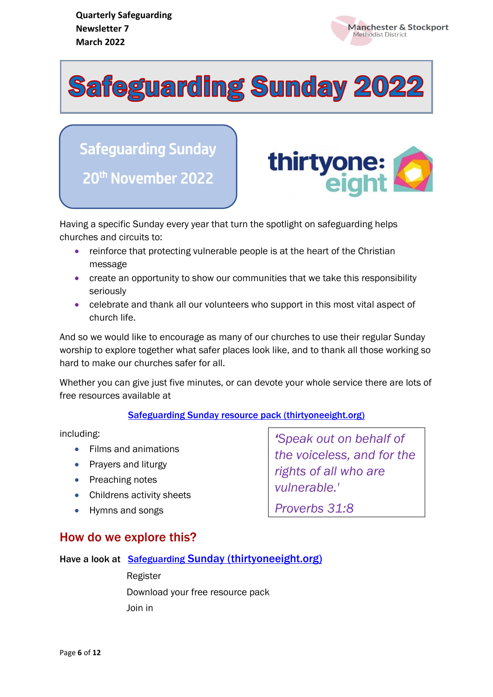

**Safeguarding Sunday 2022** 

Safeguarding Sunday 20<sup>th</sup> November 2022



Having a specific Sunday every year that turn the spotlight on safeguarding helps churches and circuits to:

- reinforce that protecting vulnerable people is at the heart of the Christian message
- create an opportunity to show our communities that we take this responsibility seriously
- celebrate and thank all our volunteers who support in this most vital aspect of church life.

And so we would like to encourage as many of our churches to use their regular Sunday worship to explore together what safer places look like, and to thank all those working so hard to make our churches safer for all.

Whether you can give just five minutes, or can devote your whole service there are lots of free resources available at

#### [Safeguarding Sunday resource pack \(thirtyoneeight.org\)](https://thirtyoneeight.org/news-and-events/safeguarding-sunday/resource-pack/)

including:

- Films and animations
- Prayers and liturgy
- Preaching notes
- Childrens activity sheets
- Hymns and songs

#### How do we explore this?

Have a look at [Safeguarding](https://thirtyoneeight.org/news-and-events/safeguarding-sunday/) [Sunday \(thirtyoneeight.org\)](https://thirtyoneeight.org/news-and-events/safeguarding-sunday/)

 Register Download your free resource pack Join in

*'Speak out on behalf of the voiceless, and for the rights of all who are vulnerable.'*

*Proverbs 31:8*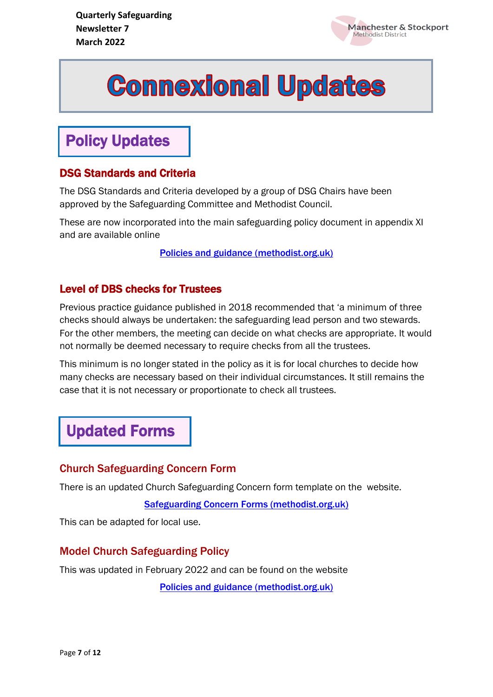

# **Commexional Updates**

## Policy Updates

#### DSG Standards and Criteria

The DSG Standards and Criteria developed by a group of DSG Chairs have been approved by the Safeguarding Committee and Methodist Council.

These are now incorporated into the main safeguarding policy document in appendix XI and are available online

[Policies and guidance \(methodist.org.uk\)](https://www.methodist.org.uk/safeguarding/policies-procedure-and-information/policies-and-guidance/)

#### Level of DBS checks for Trustees

Previous practice guidance published in 2018 recommended that 'a minimum of three checks should always be undertaken: the safeguarding lead person and two stewards. For the other members, the meeting can decide on what checks are appropriate. It would not normally be deemed necessary to require checks from all the trustees.

This minimum is no longer stated in the policy as it is for local churches to decide how many checks are necessary based on their individual circumstances. It still remains the case that it is not necessary or proportionate to check all trustees.

### Updated Forms

#### Church Safeguarding Concern Form

There is an updated Church Safeguarding Concern form template on the website.

[Safeguarding Concern Forms \(methodist.org.uk\)](https://www.methodist.org.uk/safeguarding/policies-procedure-and-information/forms/safeguarding-concern-forms/)

This can be adapted for local use.

#### Model Church Safeguarding Policy

This was updated in February 2022 and can be found on the website

[Policies and guidance \(methodist.org.uk\)](https://www.methodist.org.uk/safeguarding/policies-procedure-and-information/policies-and-guidance/)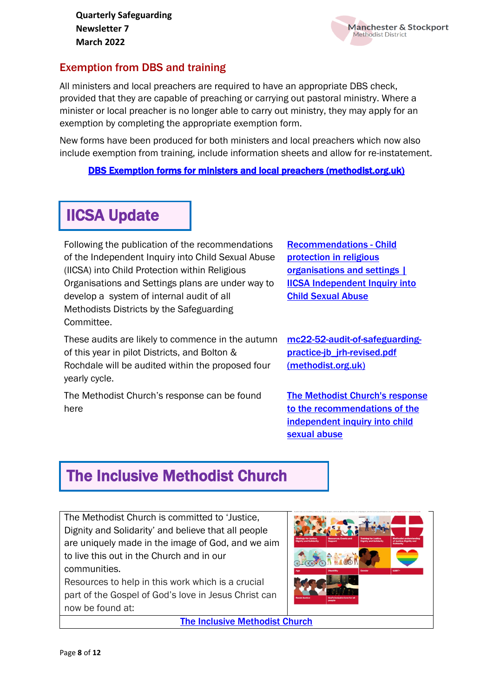

#### Exemption from DBS and training

All ministers and local preachers are required to have an appropriate DBS check, provided that they are capable of preaching or carrying out pastoral ministry. Where a minister or local preacher is no longer able to carry out ministry, they may apply for an exemption by completing the appropriate exemption form.

New forms have been produced for both ministers and local preachers which now also include exemption from training, include information sheets and allow for re-instatement.

[DBS Exemption forms for ministers and local preachers \(methodist.org.uk\)](https://www.methodist.org.uk/safeguarding/safer-recruitment-including-dbspvg-ddc-forms-policy-and-guidance-documents/forms/dbs-exemption-forms-for-ministers-and-local-preachers/) 

# IICSA Update

Following the publication of the recommendations of the Independent Inquiry into Child Sexual Abuse (IICSA) into Child Protection within Religious Organisations and Settings plans are under way to develop a system of internal audit of all Methodists Districts by the Safeguarding Committee.

These audits are likely to commence in the autumn of this year in pilot Districts, and Bolton & Rochdale will be audited within the proposed four yearly cycle.

The Methodist Church's response can be found here

[Recommendations -](https://www.iicsa.org.uk/recommendations/recommendations-child-protection-religious-organisations-and-settings) Child [protection in religious](https://www.iicsa.org.uk/recommendations/recommendations-child-protection-religious-organisations-and-settings)  [organisations and settings |](https://www.iicsa.org.uk/recommendations/recommendations-child-protection-religious-organisations-and-settings)  [IICSA Independent Inquiry into](https://www.iicsa.org.uk/recommendations/recommendations-child-protection-religious-organisations-and-settings)  [Child Sexual Abuse](https://www.iicsa.org.uk/recommendations/recommendations-child-protection-religious-organisations-and-settings)

[mc22-52-audit-of-safeguarding](https://www.methodist.org.uk/media/25051/mc22-52-audit-of-safeguarding-practice-jb_jrh-revised.pdf)[practice-jb\\_jrh-revised.pdf](https://www.methodist.org.uk/media/25051/mc22-52-audit-of-safeguarding-practice-jb_jrh-revised.pdf)  [\(methodist.org.uk\)](https://www.methodist.org.uk/media/25051/mc22-52-audit-of-safeguarding-practice-jb_jrh-revised.pdf)

[The Methodist Church's response](https://www.methodist.org.uk/safeguarding/latest-news/safeguarding-news/the-methodist-churchs-response-to-the-recommendations-of-the-independent-inquiry-into-child-sexual-abuse/)  [to the recommendations of the](https://www.methodist.org.uk/safeguarding/latest-news/safeguarding-news/the-methodist-churchs-response-to-the-recommendations-of-the-independent-inquiry-into-child-sexual-abuse/)  [independent inquiry into child](https://www.methodist.org.uk/safeguarding/latest-news/safeguarding-news/the-methodist-churchs-response-to-the-recommendations-of-the-independent-inquiry-into-child-sexual-abuse/)  [sexual abuse](https://www.methodist.org.uk/safeguarding/latest-news/safeguarding-news/the-methodist-churchs-response-to-the-recommendations-of-the-independent-inquiry-into-child-sexual-abuse/)

## The Inclusive Methodist Church

The Methodist Church is committed to 'Justice, Dignity and Solidarity' and believe that all people are uniquely made in the image of God, and we aim to live this out in the Church and in our communities.

Resources to help in this work which is a crucial part of the Gospel of God's love in Jesus Christ can now be found at:

[The Inclusive Methodist Church](https://www.methodist.org.uk/about-us/the-methodist-church/the-inclusive-methodist-church/)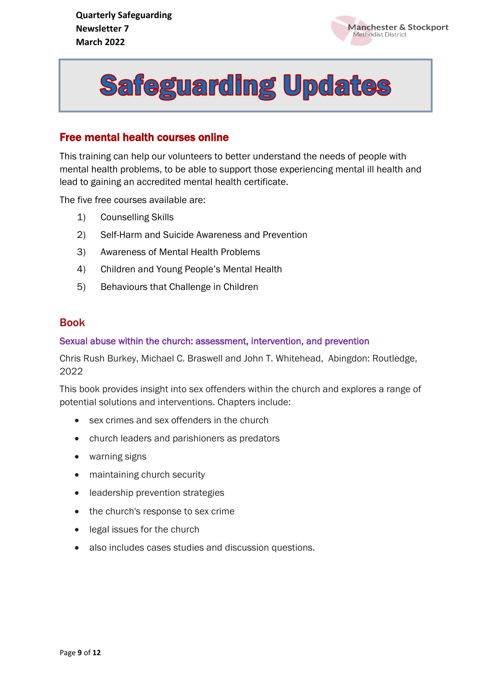



#### Free mental health courses online

This training can help our volunteers to better understand the needs of people with mental health problems, to be able to support those experiencing mental ill health and lead to gaining an accredited mental health certificate.

The five free courses available are:

- 1) Counselling Skills
- 2) Self-Harm and Suicide Awareness and Prevention
- 3) Awareness of Mental Health Problems
- 4) Children and Young People's Mental Health
- 5) Behaviours that Challenge in Children

#### Book

#### Sexual abuse within the church: assessment, intervention, and prevention

Chris Rush Burkey, Michael C. Braswell and John T. Whitehead, Abingdon: Routledge, 2022

This book provides insight into sex offenders within the church and explores a range of potential solutions and interventions. Chapters include:

- sex crimes and sex offenders in the church
- church leaders and parishioners as predators
- warning signs
- maintaining church security
- leadership prevention strategies
- the church's response to sex crime
- legal issues for the church
- also includes cases studies and discussion questions.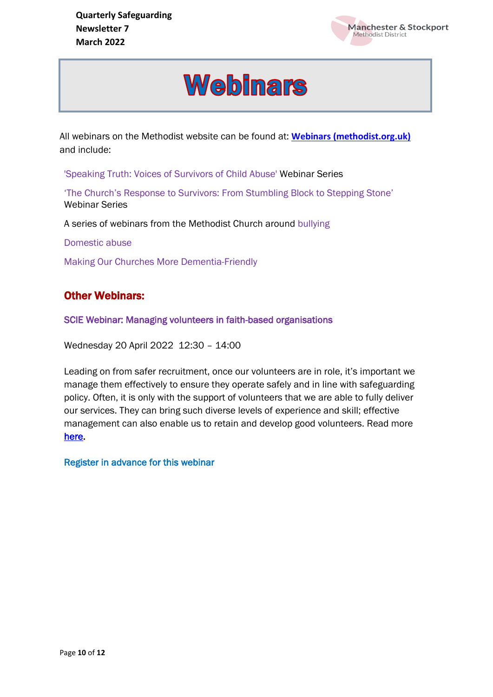

# **Webinars**

All webinars on the Methodist website can be found at: **[Webinars \(methodist.org.uk\)](https://www.methodist.org.uk/safeguarding/webinars/)** and include:

'Speaking Truth: Voices of Survivors of Child Abuse' Webinar Series

'The Church's Response to Survivors: From Stumbling Block to Stepping Stone' Webinar Series

A series of webinars from the Methodist Church around bullying

Domestic abuse

Making Our Churches More Dementia-Friendly

#### Other Webinars:

SCIE Webinar: Managing volunteers in faith-based organisations

Wednesday 20 April 2022 12:30 – 14:00

Leading on from safer [recruitment,](https://methodist-news.org.uk/BVI-7R9VP-WVDMPU-4Q0KQ3-1/c.aspx) once our volunteers are in role, it's important we manage them effectively to ensure they operate safely and in line with safeguarding policy. Often, it is only with the support of volunteers that we are able to fully deliver our services. They can bring such diverse levels of experience and skill; effective management can also enable us to retain and develop good volunteers. Read more [here.](https://methodist-news.org.uk/BVI-7R9VP-WVDMPU-4Q0KQ5-1/c.aspx)

Register in advance for this webinar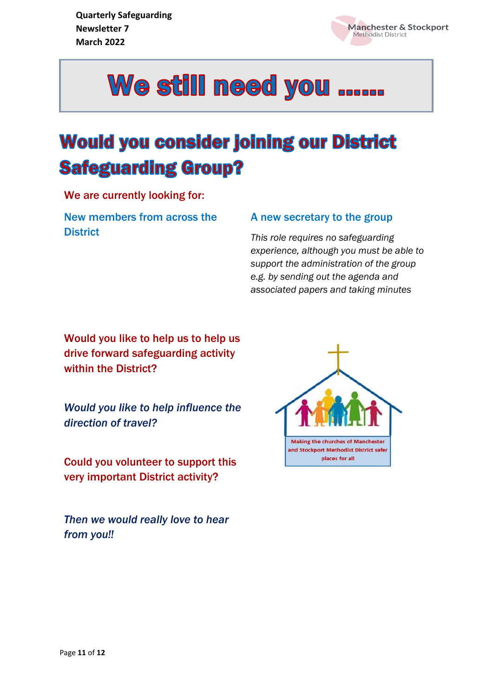

j



# **Would you consider joining our District Safeguarding Group?**

We are currently looking for:

New members from across the **District** 

#### A new secretary to the group

*This role requires no safeguarding experience, although you must be able to support the administration of the group e.g. by sending out the agenda and associated papers and taking minutes*

Would you like to help us to help us drive forward safeguarding activity within the District?

*Would you like to help influence the direction of travel?*

Could you volunteer to support this very important District activity?

*Then we would really love to hear from you!!*